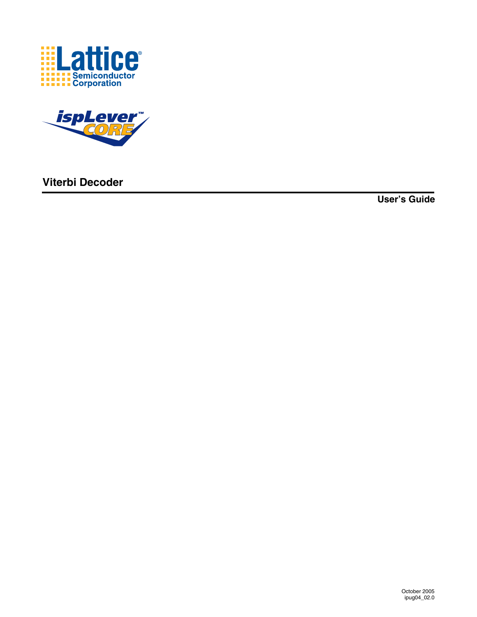



**Viterbi Decoder**

**User's Guide**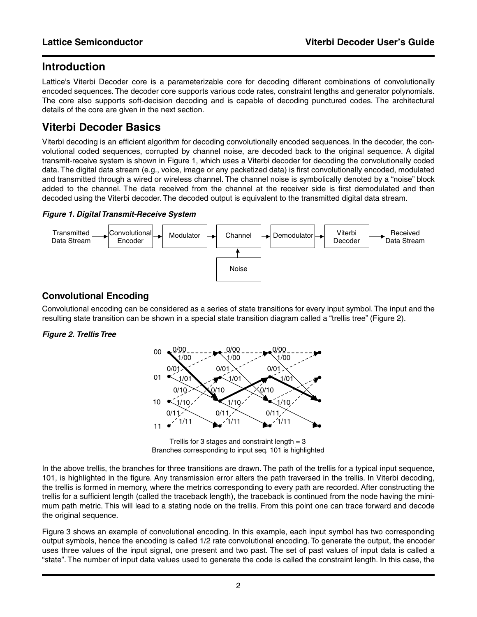# **Introduction**

Lattice's Viterbi Decoder core is a parameterizable core for decoding different combinations of convolutionally encoded sequences. The decoder core supports various code rates, constraint lengths and generator polynomials. The core also supports soft-decision decoding and is capable of decoding punctured codes. The architectural details of the core are given in the next section.

# **Viterbi Decoder Basics**

Viterbi decoding is an efficient algorithm for decoding convolutionally encoded sequences. In the decoder, the convolutional coded sequences, corrupted by channel noise, are decoded back to the original sequence. A digital transmit-receive system is shown in [Figure 1](#page-1-0), which uses a Viterbi decoder for decoding the convolutionally coded data. The digital data stream (e.g., voice, image or any packetized data) is first convolutionally encoded, modulated and transmitted through a wired or wireless channel. The channel noise is symbolically denoted by a "noise" block added to the channel. The data received from the channel at the receiver side is first demodulated and then decoded using the Viterbi decoder. The decoded output is equivalent to the transmitted digital data stream.

#### <span id="page-1-0"></span>*Figure 1. Digital Transmit-Receive System*



# **Convolutional Encoding**

Convolutional encoding can be considered as a series of state transitions for every input symbol. The input and the resulting state transition can be shown in a special state transition diagram called a "trellis tree" [\(Figure 2](#page-1-1)).

#### <span id="page-1-1"></span>*Figure 2. Trellis Tree*



Trellis for 3 stages and constraint length  $= 3$ Branches corresponding to input seq. 101 is highlighted

In the above trellis, the branches for three transitions are drawn. The path of the trellis for a typical input sequence, 101, is highlighted in the figure. Any transmission error alters the path traversed in the trellis. In Viterbi decoding, the trellis is formed in memory, where the metrics corresponding to every path are recorded. After constructing the trellis for a sufficient length (called the traceback length), the traceback is continued from the node having the minimum path metric. This will lead to a stating node on the trellis. From this point one can trace forward and decode the original sequence.

[Figure 3](#page-2-0) shows an example of convolutional encoding. In this example, each input symbol has two corresponding output symbols, hence the encoding is called 1/2 rate convolutional encoding. To generate the output, the encoder uses three values of the input signal, one present and two past. The set of past values of input data is called a "state". The number of input data values used to generate the code is called the constraint length. In this case, the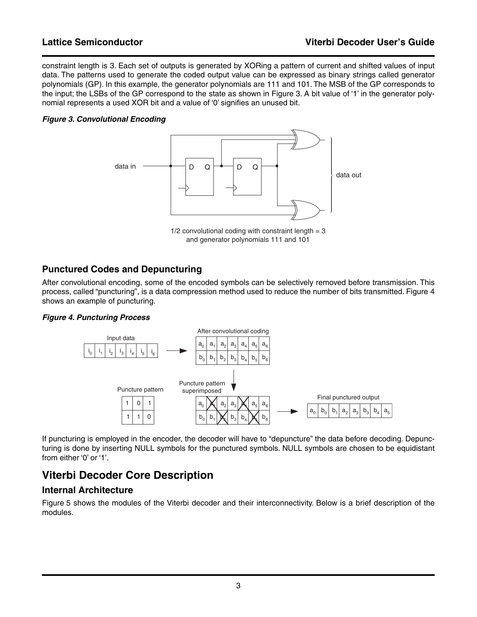constraint length is 3. Each set of outputs is generated by XORing a pattern of current and shifted values of input data. The patterns used to generate the coded output value can be expressed as binary strings called generator polynomials (GP). In this example, the generator polynomials are 111 and 101. The MSB of the GP corresponds to the input; the LSBs of the GP correspond to the state as shown in [Figure 3](#page-2-0). A bit value of '1' in the generator polynomial represents a used XOR bit and a value of '0' signifies an unused bit.

#### <span id="page-2-0"></span>*Figure 3. Convolutional Encoding*



and generator polynomials 111 and 101

# **Punctured Codes and Depuncturing**

After convolutional encoding, some of the encoded symbols can be selectively removed before transmission. This process, called "puncturing", is a data compression method used to reduce the number of bits transmitted. [Figure 4](#page-2-1) shows an example of puncturing.

#### <span id="page-2-1"></span>*Figure 4. Puncturing Process*



If puncturing is employed in the encoder, the decoder will have to "depuncture" the data before decoding. Depuncturing is done by inserting NULL symbols for the punctured symbols. NULL symbols are chosen to be equidistant from either '0' or '1'.

# **Viterbi Decoder Core Description**

## **Internal Architecture**

[Figure 5](#page-3-0) shows the modules of the Viterbi decoder and their interconnectivity. Below is a brief description of the modules.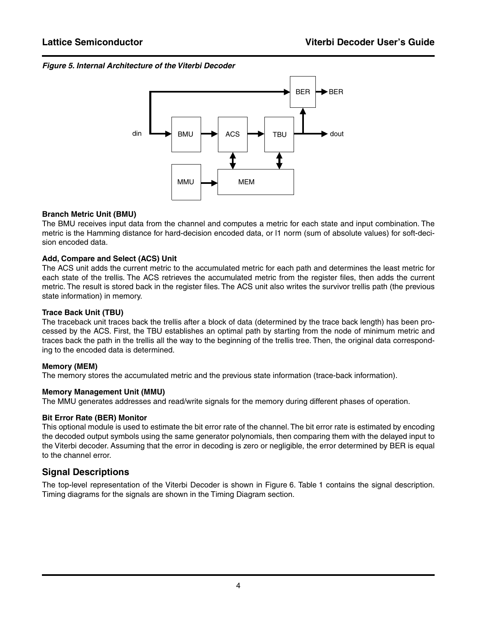#### <span id="page-3-0"></span>*Figure 5. Internal Architecture of the Viterbi Decoder*



#### **Branch Metric Unit (BMU)**

The BMU receives input data from the channel and computes a metric for each state and input combination. The metric is the Hamming distance for hard-decision encoded data, or l1 norm (sum of absolute values) for soft-decision encoded data.

#### **Add, Compare and Select (ACS) Unit**

The ACS unit adds the current metric to the accumulated metric for each path and determines the least metric for each state of the trellis. The ACS retrieves the accumulated metric from the register files, then adds the current metric. The result is stored back in the register files. The ACS unit also writes the survivor trellis path (the previous state information) in memory.

#### **Trace Back Unit (TBU)**

The traceback unit traces back the trellis after a block of data (determined by the trace back length) has been processed by the ACS. First, the TBU establishes an optimal path by starting from the node of minimum metric and traces back the path in the trellis all the way to the beginning of the trellis tree. Then, the original data corresponding to the encoded data is determined.

#### **Memory (MEM)**

The memory stores the accumulated metric and the previous state information (trace-back information).

#### **Memory Management Unit (MMU)**

The MMU generates addresses and read/write signals for the memory during different phases of operation.

#### **Bit Error Rate (BER) Monitor**

This optional module is used to estimate the bit error rate of the channel. The bit error rate is estimated by encoding the decoded output symbols using the same generator polynomials, then comparing them with the delayed input to the Viterbi decoder. Assuming that the error in decoding is zero or negligible, the error determined by BER is equal to the channel error.

## **Signal Descriptions**

The top-level representation of the Viterbi Decoder is shown in [Figure 6](#page-4-0). [Table 1](#page-4-1) contains the signal description. Timing diagrams for the signals are shown in the Timing Diagram section.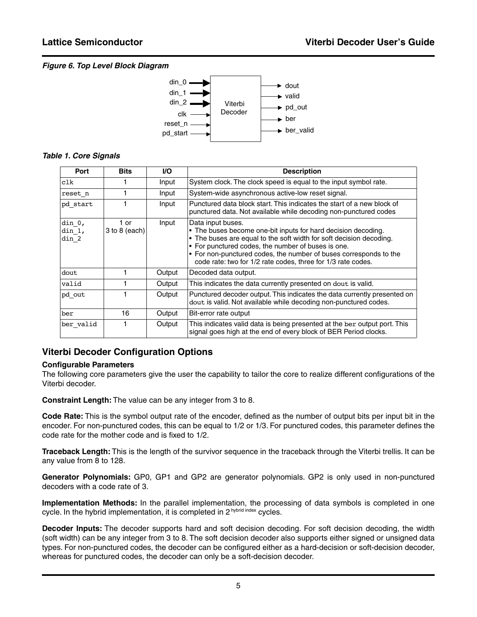#### <span id="page-4-0"></span>*Figure 6. Top Level Block Diagram*



#### <span id="page-4-1"></span>*Table 1. Core Signals*

| Port                              | <b>Bits</b>               | <b>VO</b> | <b>Description</b>                                                                                                                                                                                                                                                                                                                                   |
|-----------------------------------|---------------------------|-----------|------------------------------------------------------------------------------------------------------------------------------------------------------------------------------------------------------------------------------------------------------------------------------------------------------------------------------------------------------|
| clk                               |                           | Input     | System clock. The clock speed is equal to the input symbol rate.                                                                                                                                                                                                                                                                                     |
| reset n                           |                           | Input     | System-wide asynchronous active-low reset signal.                                                                                                                                                                                                                                                                                                    |
| pd start                          |                           | Input     | Punctured data block start. This indicates the start of a new block of<br>punctured data. Not available while decoding non-punctured codes                                                                                                                                                                                                           |
| $\dim_0$ ,<br>$\dim 1$ ,<br>din 2 | 1 or<br>$3$ to $8$ (each) | Input     | Data input buses.<br>• The buses become one-bit inputs for hard decision decoding.<br>• The buses are equal to the soft width for soft decision decoding.<br>• For punctured codes, the number of buses is one.<br>• For non-punctured codes, the number of buses corresponds to the<br>code rate: two for 1/2 rate codes, three for 1/3 rate codes. |
| dout                              |                           | Output    | Decoded data output.                                                                                                                                                                                                                                                                                                                                 |
| valid                             |                           | Output    | This indicates the data currently presented on dout is valid.                                                                                                                                                                                                                                                                                        |
| pd out                            |                           | Output    | Punctured decoder output. This indicates the data currently presented on<br>dout is valid. Not available while decoding non-punctured codes.                                                                                                                                                                                                         |
| ber                               | 16                        | Output    | Bit-error rate output                                                                                                                                                                                                                                                                                                                                |
| ber valid                         |                           | Output    | This indicates valid data is being presented at the ber output port. This<br>signal goes high at the end of every block of BER Period clocks.                                                                                                                                                                                                        |

## **Viterbi Decoder Configuration Options**

#### **Configurable Parameters**

The following core parameters give the user the capability to tailor the core to realize different configurations of the Viterbi decoder.

**Constraint Length:** The value can be any integer from 3 to 8.

**Code Rate:** This is the symbol output rate of the encoder, defined as the number of output bits per input bit in the encoder. For non-punctured codes, this can be equal to 1/2 or 1/3. For punctured codes, this parameter defines the code rate for the mother code and is fixed to 1/2.

**Traceback Length:** This is the length of the survivor sequence in the traceback through the Viterbi trellis. It can be any value from 8 to 128.

**Generator Polynomials:** GP0, GP1 and GP2 are generator polynomials. GP2 is only used in non-punctured decoders with a code rate of 3.

**Implementation Methods:** In the parallel implementation, the processing of data symbols is completed in one cycle. In the hybrid implementation, it is completed in  $2^{$  hybrid index cycles.

**Decoder Inputs:** The decoder supports hard and soft decision decoding. For soft decision decoding, the width (soft width) can be any integer from 3 to 8. The soft decision decoder also supports either signed or unsigned data types. For non-punctured codes, the decoder can be configured either as a hard-decision or soft-decision decoder, whereas for punctured codes, the decoder can only be a soft-decision decoder.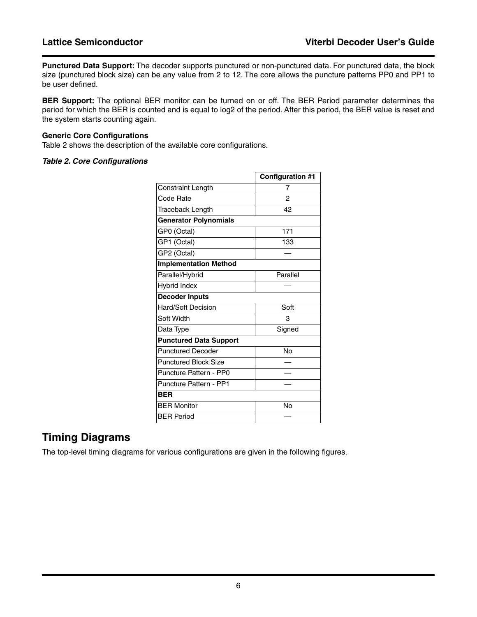**Punctured Data Support:** The decoder supports punctured or non-punctured data. For punctured data, the block size (punctured block size) can be any value from 2 to 12. The core allows the puncture patterns PP0 and PP1 to be user defined.

**BER Support:** The optional BER monitor can be turned on or off. The BER Period parameter determines the period for which the BER is counted and is equal to log2 of the period. After this period, the BER value is reset and the system starts counting again.

#### **Generic Core Configurations**

[Table 2](#page-5-0) shows the description of the available core configurations.

#### <span id="page-5-0"></span>*Table 2. Core Configurations*

|                               | <b>Configuration #1</b> |
|-------------------------------|-------------------------|
| Constraint Length             | 7                       |
| Code Rate                     | $\mathcal{P}$           |
| Traceback Length              | 42                      |
| <b>Generator Polynomials</b>  |                         |
| GP0 (Octal)                   | 171                     |
| GP1 (Octal)                   | 133                     |
| GP2 (Octal)                   |                         |
| <b>Implementation Method</b>  |                         |
| Parallel/Hybrid               | Parallel                |
| <b>Hybrid Index</b>           |                         |
| <b>Decoder Inputs</b>         |                         |
| <b>Hard/Soft Decision</b>     | Soft                    |
| Soft Width                    | 3                       |
| Data Type                     | Signed                  |
| <b>Punctured Data Support</b> |                         |
| <b>Punctured Decoder</b>      | No                      |
| <b>Punctured Block Size</b>   |                         |
| <b>Puncture Pattern - PP0</b> |                         |
| <b>Puncture Pattern - PP1</b> |                         |
| BER                           |                         |
| <b>BER Monitor</b>            | No                      |
| <b>BER Period</b>             |                         |

# **Timing Diagrams**

The top-level timing diagrams for various configurations are given in the following figures.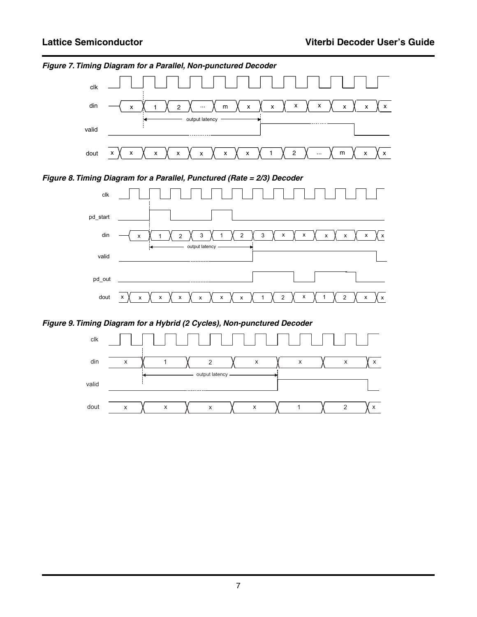

*Figure 7. Timing Diagram for a Parallel, Non-punctured Decoder*





*Figure 9. Timing Diagram for a Hybrid (2 Cycles), Non-punctured Decoder*



7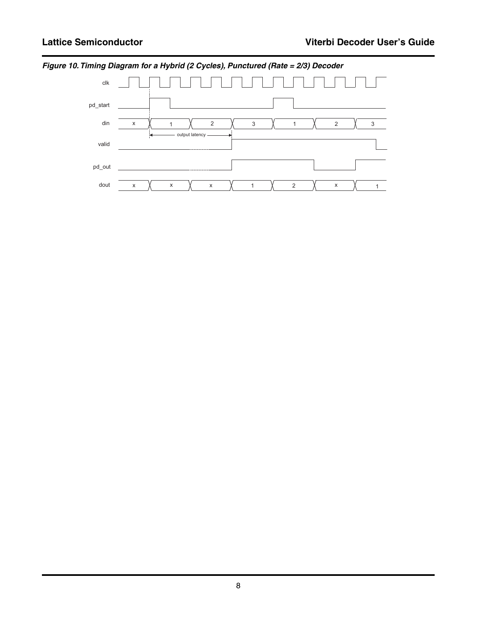

*Figure 10. Timing Diagram for a Hybrid (2 Cycles), Punctured (Rate = 2/3) Decoder*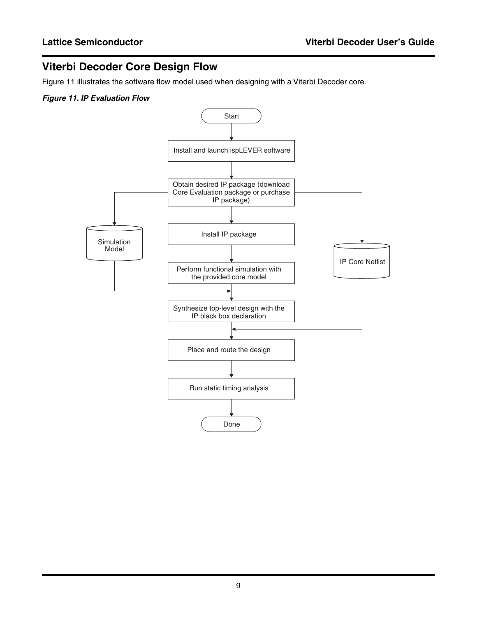# **Viterbi Decoder Core Design Flow**

[Figure 11](#page-8-0) illustrates the software flow model used when designing with a Viterbi Decoder core.

### <span id="page-8-0"></span>*Figure 11. IP Evaluation Flow*

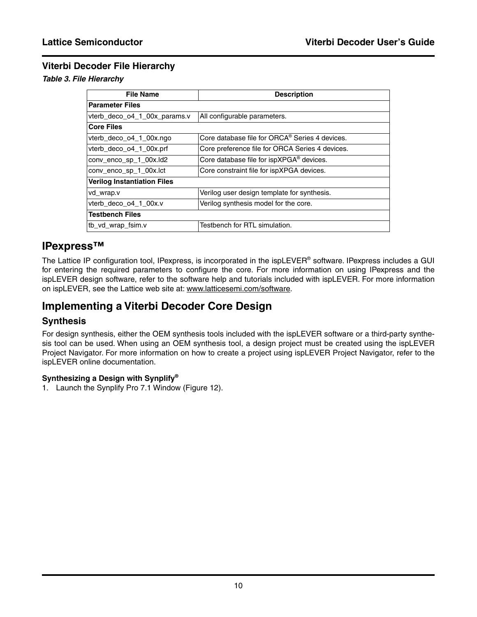# **Viterbi Decoder File Hierarchy**

#### *Table 3. File Hierarchy*

| <b>File Name</b>                   | <b>Description</b>                                   |
|------------------------------------|------------------------------------------------------|
| <b>Parameter Files</b>             |                                                      |
| vterb_deco_o4_1_00x_params.v       | All configurable parameters.                         |
| <b>Core Files</b>                  |                                                      |
| vterb_deco_o4_1_00x.ngo            | Core database file for ORCA® Series 4 devices.       |
| vterb_deco_o4_1_00x.prf            | Core preference file for ORCA Series 4 devices.      |
| conv_enco_sp_1_00x.ld2             | Core database file for ispXPGA <sup>®</sup> devices. |
| conv_enco_sp_1_00x.lct             | Core constraint file for ispXPGA devices.            |
| <b>Verilog Instantiation Files</b> |                                                      |
| vd_wrap.v                          | Verilog user design template for synthesis.          |
| vterb deco o4 1 00x.v              | Verilog synthesis model for the core.                |
| <b>Testbench Files</b>             |                                                      |
| tb vd wrap fsim.v                  | Testbench for RTL simulation.                        |
|                                    |                                                      |

# **IPexpress™**

The Lattice IP configuration tool, IPexpress, is incorporated in the ispLEVER® software. IPexpress includes a GUI for entering the required parameters to configure the core. For more information on using IPexpress and the ispLEVER design software, refer to the software help and tutorials included with ispLEVER. For more information on ispLEVER, see the Lattice web site at: www.latticesemi.com/software.

# **Implementing a Viterbi Decoder Core Design**

#### **Synthesis**

For design synthesis, either the OEM synthesis tools included with the ispLEVER software or a third-party synthesis tool can be used. When using an OEM synthesis tool, a design project must be created using the ispLEVER Project Navigator. For more information on how to create a project using ispLEVER Project Navigator, refer to the ispLEVER online documentation.

#### **Synthesizing a Design with Synplify®**

1. Launch the Synplify Pro 7.1 Window [\(Figure 12](#page-10-0)).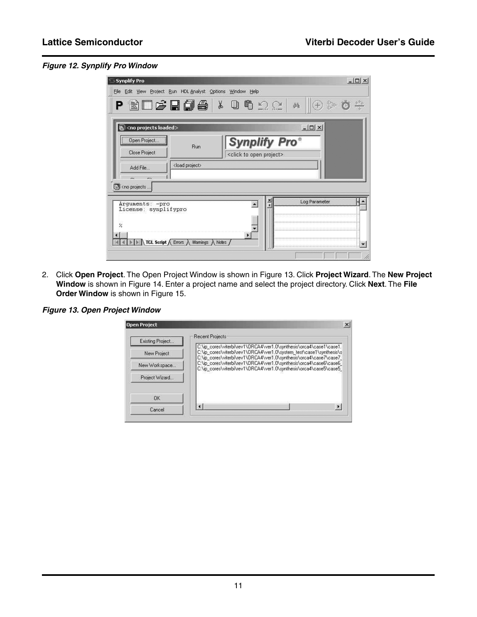### <span id="page-10-0"></span>*Figure 12. Synplify Pro Window*

| Synplify Pro                                                           |                                               |                                          |                  | $ \Box$ $\times$ |
|------------------------------------------------------------------------|-----------------------------------------------|------------------------------------------|------------------|------------------|
| File Edit View Project Run HDL Analyst Options Window Help             |                                               |                                          |                  |                  |
|                                                                        |                                               | <b>BL&amp;Hd&amp; KOG</b> 20             | $^{(+)}$<br>驫    |                  |
| $\mathbf{E}$ <no loaded="" projects=""></no>                           |                                               |                                          | $ \Box$ $\times$ |                  |
| Open Project                                                           | Run                                           | <b>Synplify Pro®</b>                     |                  |                  |
| Close Project                                                          |                                               | <click open="" project="" to=""></click> |                  |                  |
| Add File                                                               | <load project=""></load>                      |                                          |                  |                  |
| $\sqrt{2}$<br>en is                                                    |                                               |                                          |                  |                  |
| E <no <="" projects="" td=""><td></td><td></td><td></td><td></td></no> |                                               |                                          |                  |                  |
| Arguments: - pro                                                       |                                               | $\frac{x}{1}$                            | Log Parameter    |                  |
| License: synplifypro                                                   |                                               |                                          |                  |                  |
| $\frac{2}{\sqrt{2}}$                                                   |                                               |                                          |                  |                  |
| н                                                                      | <b>TCL Script A</b> Errors A Warnings A Notes |                                          |                  |                  |
|                                                                        |                                               |                                          |                  |                  |
|                                                                        |                                               |                                          |                  |                  |

2. Click **Open Project**. The Open Project Window is shown in [Figure 13.](#page-10-1) Click **Project Wizard**. The **New Project Window** is shown in [Figure 14](#page-11-0). Enter a project name and select the project directory. Click **Next**. The **File Order Window** is shown in [Figure 15](#page-11-1).

#### <span id="page-10-1"></span>*Figure 13. Open Project Window*

| Existing Project | <b>Recent Projects</b>                                                                                                                                                                                         |
|------------------|----------------------------------------------------------------------------------------------------------------------------------------------------------------------------------------------------------------|
| New Project      | C:\ip cores\viterbi\rev1\ORCA4\ver1.0\synthesis\orca4\case1\case1.<br>C:\ip_cores\viterbi\rev1\ORCA4\ver1.0\system_test\case1\synthesis\s<br>C:\ip_cores\viterbi\rev1\ORCA4\ver1.0\synthesis\orca4\case7\case7 |
| New Workspace    | C:\ip_cores\viterbi\rev1\0RCA4\ver1.0\synthesis\orca4\case6\case6<br>C:\ip_cores\viterbi\rev1\ORCA4\ver1.0\synthesis\orca4\case5\case5                                                                         |
| Project Wizard   |                                                                                                                                                                                                                |
| 0 <sub>K</sub>   |                                                                                                                                                                                                                |
| Cancel           | $\blacktriangleright$                                                                                                                                                                                          |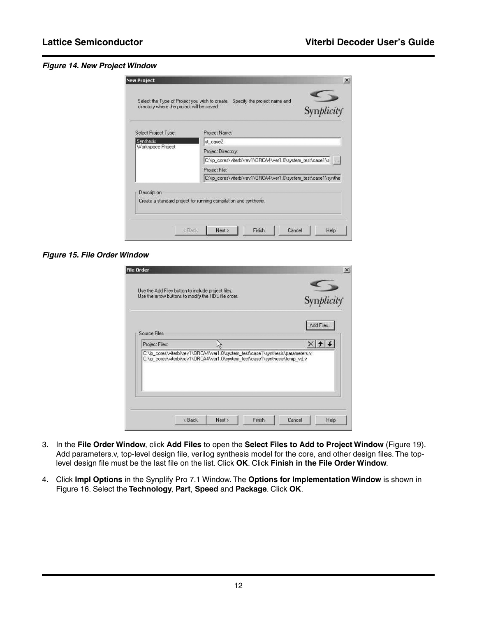#### <span id="page-11-0"></span>*Figure 14. New Project Window*

| Select Project Type:           | Project Name:                                                    |  |  |
|--------------------------------|------------------------------------------------------------------|--|--|
| Synthesis<br>Workspace Project | st case2                                                         |  |  |
|                                | Project Directory:                                               |  |  |
|                                | C:\ip_cores\viterbi\rev1\ORCA4\ver1.0\system_test\case1\s [1000] |  |  |
|                                | Project File:                                                    |  |  |
|                                | C:\ip_cores\viterbi\rev1\ORCA4\ver1.0\system_test\case1\synthe   |  |  |
| Description                    |                                                                  |  |  |
|                                | Create a standard project for running compilation and synthesis. |  |  |

#### <span id="page-11-1"></span>*Figure 15. File Order Window*

| <b>File Order</b><br>Use the Add Files button to include project files. |                                                                                                                                                               |            |  |
|-------------------------------------------------------------------------|---------------------------------------------------------------------------------------------------------------------------------------------------------------|------------|--|
| Use the arrow buttons to modify the HDL file order.                     |                                                                                                                                                               | Synplicity |  |
| Source Files:                                                           |                                                                                                                                                               | Add Files  |  |
| Project Files:                                                          |                                                                                                                                                               |            |  |
|                                                                         | C:\ip_cores\viterbi\rev1\ORCA4\ver1.0\system_test\case1\synthesis\parameters.v<br>C:\ip_cores\viterbi\rev1\ORCA4\ver1.0\system_test\case1\synthesis\temp_vd.v |            |  |
|                                                                         |                                                                                                                                                               |            |  |

- 3. In the **File Order Window**, click **Add Files** to open the **Select Files to Add to Project Window** (Figure 19). Add parameters.v, top-level design file, verilog synthesis model for the core, and other design files. The toplevel design file must be the last file on the list. Click **OK**. Click **Finish in the File Order Window**.
- 4. Click **Impl Options** in the Synplify Pro 7.1 Window. The **Options for Implementation Window** is shown in [Figure 16](#page-12-0). Select the **Technology**, **Part**, **Speed** and **Package**. Click **OK**.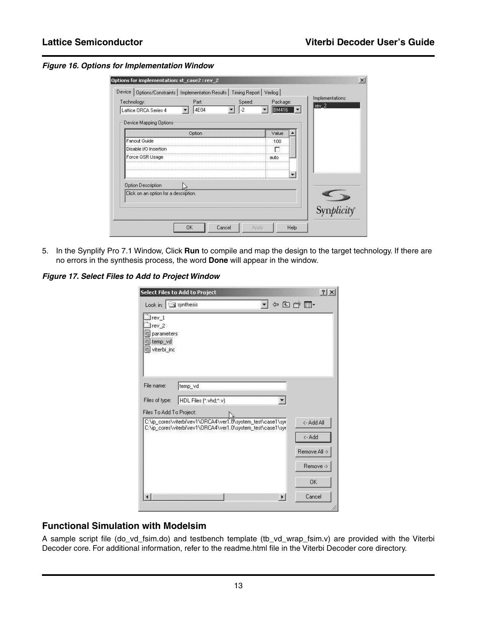<span id="page-12-0"></span>*Figure 16. Options for Implementation Window*

| Technology:<br>Lattice ORCA Series 4  | Part<br>4E04 | Speed:<br>$-2$ | Package:<br><b>BM416</b>       | Implementations:<br>rev <sub>2</sub> |
|---------------------------------------|--------------|----------------|--------------------------------|--------------------------------------|
| Device Mapping Options                |              |                |                                |                                      |
|                                       | Option       |                | Value<br>,,,,,,,,,,,,,,,,,,,,, |                                      |
| Fanout Guide                          |              |                | 100                            |                                      |
| Disable I/O Insertion                 |              |                |                                |                                      |
| Force GSR Usage                       |              |                | auto                           |                                      |
|                                       |              |                |                                |                                      |
|                                       |              |                |                                |                                      |
| <b>Option Description</b>             |              |                |                                |                                      |
| Click on an option for a description. |              |                |                                |                                      |
|                                       |              |                |                                | Synplicity                           |

5. In the Synplify Pro 7.1 Window, Click **Run** to compile and map the design to the target technology. If there are no errors in the synthesis process, the word **Done** will appear in the window.

*Figure 17. Select Files to Add to Project Window*

|                                                                           | <b>Select Files to Add to Project</b>                       | $?$ $\times$  |
|---------------------------------------------------------------------------|-------------------------------------------------------------|---------------|
| Look in: $\boxed{\triangleleft}$ synthesis                                |                                                             | ☆ 国内 国        |
| $ rev_1 $<br>rev <sub>2</sub><br>parameters<br>all temp_vd<br>witerbi_inc |                                                             |               |
| File name:                                                                | temp_vd                                                     |               |
|                                                                           |                                                             |               |
|                                                                           |                                                             |               |
|                                                                           | HDL Files (".vhd;".v)                                       |               |
|                                                                           | C:\ip_cores\viterbi\rev1\ORCA4\ver1.0\system_test\case1\syr | <- Add All    |
|                                                                           | C:\ip_cores\viterbi\rev1\ORCA4\ver1.0\system_test\case1\syr | <- Add        |
|                                                                           |                                                             | Remove All -> |
|                                                                           |                                                             | Remove ->     |
| Files of type:<br>Files To Add To Project:                                |                                                             | OK.           |

# **Functional Simulation with Modelsim**

A sample script file (do\_vd\_fsim.do) and testbench template (tb\_vd\_wrap\_fsim.v) are provided with the Viterbi Decoder core. For additional information, refer to the readme.html file in the Viterbi Decoder core directory.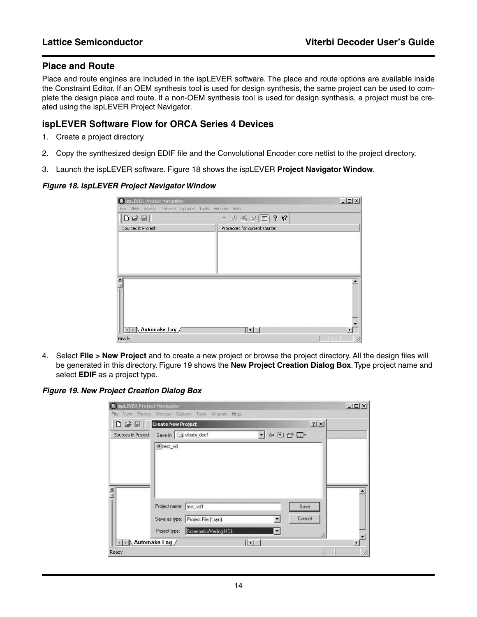### **Place and Route**

Place and route engines are included in the ispLEVER software. The place and route options are available inside the Constraint Editor. If an OEM synthesis tool is used for design synthesis, the same project can be used to complete the design place and route. If a non-OEM synthesis tool is used for design synthesis, a project must be created using the ispLEVER Project Navigator.

## **ispLEVER Software Flow for ORCA Series 4 Devices**

- 1. Create a project directory.
- 2. Copy the synthesized design EDIF file and the Convolutional Encoder core netlist to the project directory.
- 3. Launch the ispLEVER software. Figure 18 shows the ispLEVER **Project Navigator Window**.

#### *Figure 18. ispLEVER Project Navigator Window*

| <b>BispLEVER Project Navigator</b>                       |                                                                      | $  D $ $\times$ |
|----------------------------------------------------------|----------------------------------------------------------------------|-----------------|
| View<br>Source Process Options Tools Window Help<br>File |                                                                      |                 |
| $\Box \ncong \Box$                                       | $\mathbb{Z} \otimes \mathbb{Z} \otimes  \mathbb{Z} $ ? $\mathcal{R}$ |                 |
| Sources in Project:                                      | Processes for current source:                                        |                 |
|                                                          |                                                                      |                 |
|                                                          |                                                                      |                 |
|                                                          |                                                                      |                 |
|                                                          |                                                                      |                 |
|                                                          |                                                                      |                 |
| $= 1.8$                                                  |                                                                      |                 |
|                                                          |                                                                      |                 |
|                                                          |                                                                      |                 |
|                                                          |                                                                      |                 |
| - Automake Log /                                         | $\lceil \cdot \rceil$                                                |                 |
| Ready                                                    |                                                                      | h               |

4. Select **File > New Project** and to create a new project or browse the project directory. All the design files will be generated in this directory. Figure 19 shows the **New Project Creation Dialog Box**. Type project name and select **EDIF** as a project type.

#### *Figure 19. New Project Creation Dialog Box*

| <b>III</b> ispLEVER Project Navigator<br>View<br>Source<br>File |                                               | Process Options Tools Window Help  |                            |                                         | $ \Box$ $\times$ |
|-----------------------------------------------------------------|-----------------------------------------------|------------------------------------|----------------------------|-----------------------------------------|------------------|
| $D \ncong \square$                                              | <b>Create New Project</b>                     |                                    |                            | 2 X                                     |                  |
| Sources in Project                                              | Save in: Writerbi_dec1<br># test_vd           |                                    | $\mathbf{r}$               | $\Leftrightarrow$ $E \rightharpoonup E$ |                  |
| $\frac{1}{2}$                                                   | Project name: test_vd1                        | Save as type: Project File (*.syn) | ۳                          | Save<br>Cancel                          |                  |
|                                                                 | Project type:<br>$\setminus$ Automake Log $/$ | Schematic/Verilog HDL              | $\vert \cdot \vert$<br>⊺∢∣ |                                         |                  |
| Ready                                                           |                                               |                                    |                            |                                         | h                |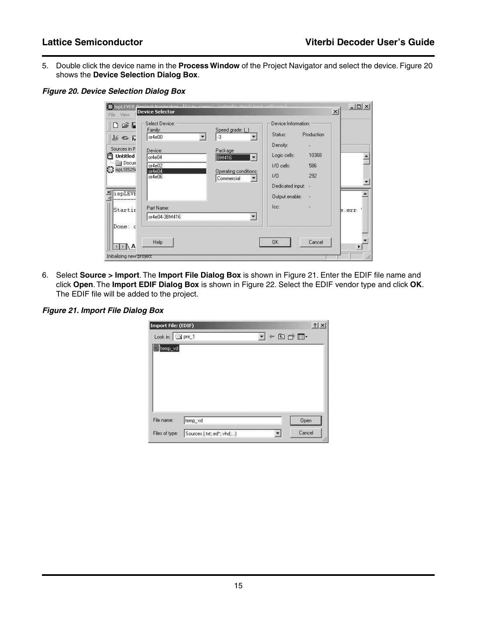5. Double click the device name in the **Process Window** of the Project Navigator and select the device. Figure 20 shows the **Device Selection Dialog Box**.

*Figure 20. Device Selection Dialog Box*

| $\mathbb{R}$                      | Select Device:     |                                                 | Device Information: |            |       |
|-----------------------------------|--------------------|-------------------------------------------------|---------------------|------------|-------|
|                                   | Family:<br>or4e00  | Speed grade: [<br>$-3$<br>$\blacktriangleright$ | Status:             | Production |       |
| $N \subseteq N$                   |                    |                                                 | Density:            | S.         |       |
| Sources in P                      | Device:            | Package                                         | Logic cells:        | 10368      |       |
| <b>Untitled</b><br><b>I</b> Docun | or4e04             | $\vert \cdot \vert$<br><b>BM416</b>             |                     |            |       |
| G ispLSI525                       | or 4e02<br>or 4e04 | Operating conditions:                           | I/O cells:          | 586        |       |
|                                   | or 4e06            | Commercial<br>×                                 | 1/0                 | 292        |       |
|                                   |                    |                                                 | Dedicated input: -  |            |       |
| ispLEVE                           |                    |                                                 | Output enable: -    |            |       |
| Startir                           | Part Name:         |                                                 | lec:                | G          | b.err |
|                                   | or4e04-3BM416      | $\overline{\phantom{a}}$                        |                     |            |       |
| Done: c                           |                    |                                                 |                     |            |       |
|                                   | Help               |                                                 | <b>DK</b>           | Cancel     |       |

6. Select **Source > Import**. The **Import File Dialog Box** is shown in Figure 21. Enter the EDIF file name and click **Open**. The **Import EDIF Dialog Box** is shown in Figure 22. Select the EDIF vendor type and click **OK**. The EDIF file will be added to the project.

#### *Figure 21. Import File Dialog Box*

| Import File: (EDIF)           |         |  |           |      | $\mathbf{?}$ |
|-------------------------------|---------|--|-----------|------|--------------|
| Look in: $\boxed{\Box}$ phr_1 |         |  | $+ 2 + 1$ |      |              |
| temp_vd                       |         |  |           |      |              |
|                               |         |  |           |      |              |
|                               |         |  |           |      |              |
|                               |         |  |           |      |              |
|                               |         |  |           |      |              |
|                               |         |  |           |      |              |
|                               |         |  |           |      |              |
| File name:                    | temp_vd |  |           | Open |              |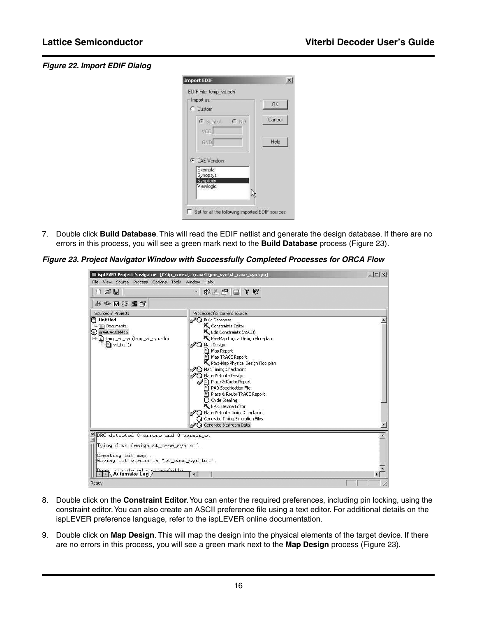#### *Figure 22. Import EDIF Dialog*

| Import as:<br><b>C</b> Custom | 0K     |
|-------------------------------|--------|
| $C$ Net<br>G Symbol           | Cancel |
| VCC-<br>GND                   | Help   |
| C CAE Vendors                 |        |
| Exemplar<br>Synopsys          |        |
| Synplicity<br>Viewlogic       |        |

7. Double click **Build Database**. This will read the EDIF netlist and generate the design database. If there are no errors in this process, you will see a green mark next to the **Build Database** process (Figure 23).

*Figure 23. Project Navigator Window with Successfully Completed Processes for ORCA Flow*

| File View Source Process Options Tools Window Help                                                                                          | lispLEVER Project Navigator - [C:\ip_cores\\case1\pnr_syn\st_case_syn.syn]                                                                                                                                                                                                                                                                                                                                                                                                                        | $ \Box$ $\times$ |
|---------------------------------------------------------------------------------------------------------------------------------------------|---------------------------------------------------------------------------------------------------------------------------------------------------------------------------------------------------------------------------------------------------------------------------------------------------------------------------------------------------------------------------------------------------------------------------------------------------------------------------------------------------|------------------|
| D G H<br><b>あっ立法国品</b>                                                                                                                      | $-$ 3 $\leq$ $\approx$ $\sim$ $\sim$ $\sim$ $\sim$                                                                                                                                                                                                                                                                                                                                                                                                                                                |                  |
| Sources in Project:<br><b>A</b> Untitled                                                                                                    | Processes for current source:<br>2 Build Database                                                                                                                                                                                                                                                                                                                                                                                                                                                 |                  |
| <b>Image Documents</b><br>C or4e04-3BM416<br>白目 temp_vd_syn (temp_vd_syn.edn)<br>2 vd_top ()                                                | Constraints Editor<br>Edit Constraints (ASCII)<br>Pre-Map Logical Design Floorplan<br>2 Map Design<br>Map Report<br><sup>■</sup> Map TRACE Report<br>Post-Map Physical Design Floorplan<br><b>ORG</b> Map Timing Checkpoint<br>2G Place & Route Design<br>p Place & Route Report<br>PAD Specification File<br>E Place & Route TRACE Report<br><b>G</b> Cycle Stealing<br>EPIC Device Editor<br>2 Place & Route Timing Checkpoint<br>Generate Timing Simulation Files<br>2 Generate Bitstream Data |                  |
| SDRC detected 0 errors and 0 warnings.<br>Tying down design st_case_syn.ncd.<br>Creating bit map<br>Saving bit stream in "st_case_syn.bit". |                                                                                                                                                                                                                                                                                                                                                                                                                                                                                                   |                  |
| Done Completed successfully                                                                                                                 | $\mathbf{H}$                                                                                                                                                                                                                                                                                                                                                                                                                                                                                      |                  |
| Ready                                                                                                                                       |                                                                                                                                                                                                                                                                                                                                                                                                                                                                                                   |                  |

- 8. Double click on the **Constraint Editor**. You can enter the required preferences, including pin locking, using the constraint editor. You can also create an ASCII preference file using a text editor. For additional details on the ispLEVER preference language, refer to the ispLEVER online documentation.
- 9. Double click on **Map Design**. This will map the design into the physical elements of the target device. If there are no errors in this process, you will see a green mark next to the **Map Design** process (Figure 23).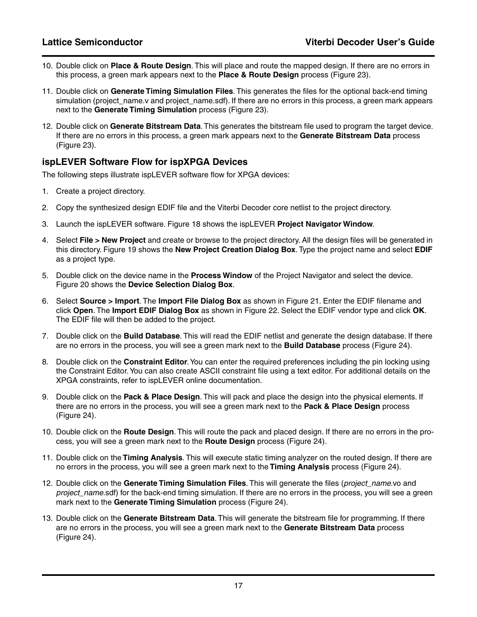- 10. Double click on **Place & Route Design**. This will place and route the mapped design. If there are no errors in this process, a green mark appears next to the **Place & Route Design** process (Figure 23).
- 11. Double click on **Generate Timing Simulation Files**. This generates the files for the optional back-end timing simulation (project name.y and project name.sdf). If there are no errors in this process, a green mark appears next to the **Generate Timing Simulation** process (Figure 23).
- 12. Double click on **Generate Bitstream Data**. This generates the bitstream file used to program the target device. If there are no errors in this process, a green mark appears next to the **Generate Bitstream Data** process (Figure 23).

## **ispLEVER Software Flow for ispXPGA Devices**

The following steps illustrate ispLEVER software flow for XPGA devices:

- 1. Create a project directory.
- 2. Copy the synthesized design EDIF file and the Viterbi Decoder core netlist to the project directory.
- 3. Launch the ispLEVER software. Figure 18 shows the ispLEVER **Project Navigator Window**.
- 4. Select **File > New Project** and create or browse to the project directory. All the design files will be generated in this directory. Figure 19 shows the **New Project Creation Dialog Box**. Type the project name and select **EDIF** as a project type.
- 5. Double click on the device name in the **Process Window** of the Project Navigator and select the device. Figure 20 shows the **Device Selection Dialog Box**.
- 6. Select **Source > Import**. The **Import File Dialog Box** as shown in Figure 21. Enter the EDIF filename and click **Open**. The **Import EDIF Dialog Box** as shown in Figure 22. Select the EDIF vendor type and click **OK**. The EDIF file will then be added to the project.
- 7. Double click on the **Build Database**. This will read the EDIF netlist and generate the design database. If there are no errors in the process, you will see a green mark next to the **Build Database** process ([Figure 24](#page-17-0)).
- 8. Double click on the **Constraint Editor**. You can enter the required preferences including the pin locking using the Constraint Editor. You can also create ASCII constraint file using a text editor. For additional details on the XPGA constraints, refer to ispLEVER online documentation.
- 9. Double click on the **Pack & Place Design**. This will pack and place the design into the physical elements. If there are no errors in the process, you will see a green mark next to the **Pack & Place Design** process [\(Figure 24\)](#page-17-0).
- 10. Double click on the **Route Design**. This will route the pack and placed design. If there are no errors in the process, you will see a green mark next to the **Route Design** process [\(Figure 24\)](#page-17-0).
- 11. Double click on the **Timing Analysis**. This will execute static timing analyzer on the routed design. If there are no errors in the process, you will see a green mark next to the **Timing Analysis** process ([Figure 24](#page-17-0)).
- 12. Double click on the **Generate Timing Simulation Files**. This will generate the files (*project\_name*.vo and *project\_name*.sdf) for the back-end timing simulation. If there are no errors in the process, you will see a green mark next to the **Generate Timing Simulation** process ([Figure 24](#page-17-0)).
- 13. Double click on the **Generate Bitstream Data**. This will generate the bitstream file for programming. If there are no errors in the process, you will see a green mark next to the **Generate Bitstream Data** process [\(Figure 24\)](#page-17-0).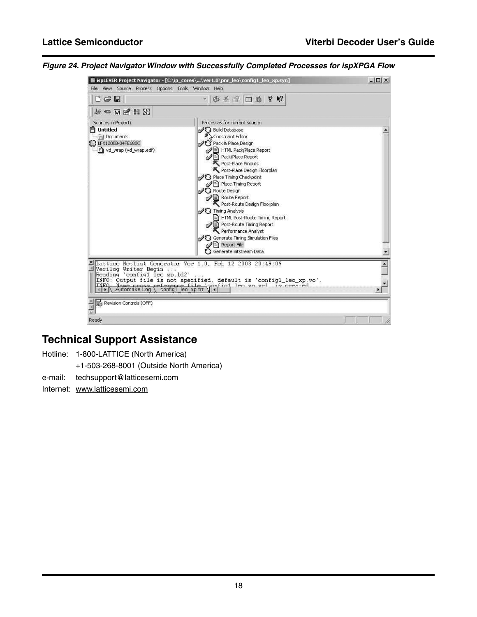

<span id="page-17-0"></span>*Figure 24. Project Navigator Window with Successfully Completed Processes for ispXPGA Flow*

# **Technical Support Assistance**

Hotline: 1-800-LATTICE (North America)

+1-503-268-8001 (Outside North America)

e-mail: techsupport@latticesemi.com

Internet: www.latticesemi.com

Ready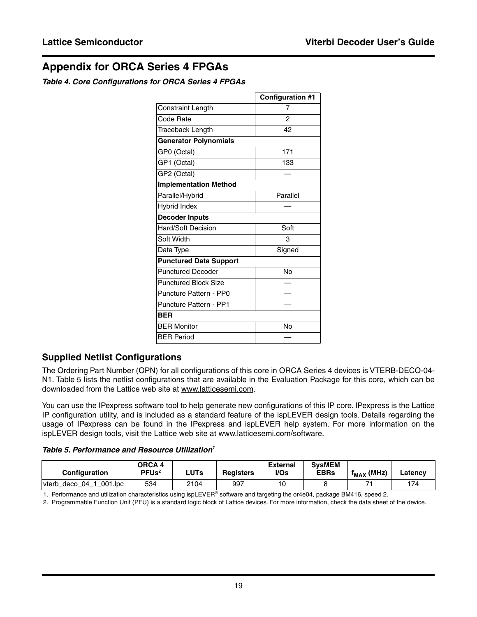# **Appendix for ORCA Series 4 FPGAs**

#### *Table 4. Core Configurations for ORCA Series 4 FPGAs*

|                               | <b>Configuration #1</b> |
|-------------------------------|-------------------------|
| <b>Constraint Length</b>      | 7                       |
| Code Rate                     | 2                       |
| Traceback Length              | 42                      |
| <b>Generator Polynomials</b>  |                         |
| GP0 (Octal)                   | 171                     |
| GP1 (Octal)                   | 133                     |
| GP2 (Octal)                   |                         |
| <b>Implementation Method</b>  |                         |
| Parallel/Hybrid               | Parallel                |
| <b>Hybrid Index</b>           |                         |
| <b>Decoder Inputs</b>         |                         |
| <b>Hard/Soft Decision</b>     | Soft                    |
| Soft Width                    | 3                       |
| Data Type                     | Signed                  |
| <b>Punctured Data Support</b> |                         |
| <b>Punctured Decoder</b>      | No                      |
| <b>Punctured Block Size</b>   |                         |
| Puncture Pattern - PP0        |                         |
| <b>Puncture Pattern - PP1</b> |                         |
| <b>BER</b>                    |                         |
| <b>BER Monitor</b>            | No                      |
| <b>BER Period</b>             |                         |

# **Supplied Netlist Configurations**

The Ordering Part Number (OPN) for all configurations of this core in ORCA Series 4 devices is VTERB-DECO-04- N1. Table 5 lists the netlist configurations that are available in the Evaluation Package for this core, which can be downloaded from the Lattice web site at www.latticesemi.com.

You can use the IPexpress software tool to help generate new configurations of this IP core. IPexpress is the Lattice IP configuration utility, and is included as a standard feature of the ispLEVER design tools. Details regarding the usage of IPexpress can be found in the IPexpress and ispLEVER help system. For more information on the ispLEVER design tools, visit the Lattice web site at www.latticesemi.com/software.

*Table 5. Performance and Resource Utilization1*

| <b>Configuration</b>                                  | <b>ORCA 4</b><br>PFUs <sup>2</sup> | <b>LUTs</b> | <b>Registers</b> | <b>External</b><br>I/Os | <b>SysMEM</b><br><b>EBRs</b> | (MHz)<br><sup>T</sup> MAX | ∟atencv |
|-------------------------------------------------------|------------------------------------|-------------|------------------|-------------------------|------------------------------|---------------------------|---------|
| 001.lpc<br>$^{\circ}$ 04 $^{\circ}$<br>deco<br>'∨terb | 534                                | 2104        | 997              |                         |                              |                           | 174     |

1. Performance and utilization characteristics using ispLEVER® software and targeting the or4e04, package BM416, speed 2.

2. Programmable Function Unit (PFU) is a standard logic block of Lattice devices. For more information, check the data sheet of the device.